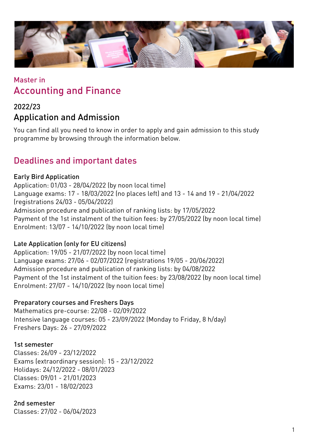

## Master in Accounting and Finance

## 2022/23 Application and Admission

You can find all you need to know in order to apply and gain admission to this study programme by browsing through the information below.

## Deadlines and important dates

### Early Bird Application

Application: 01/03 - 28/04/2022 (by noon local time) Language exams: 17 - 18/03/2022 (no places left) and 13 - 14 and 19 - 21/04/2022 (registrations 24/03 - 05/04/2022) Admission procedure and publication of ranking lists: by 17/05/2022 Payment of the 1st instalment of the tuition fees: by 27/05/2022 (by noon local time) Enrolment: 13/07 - 14/10/2022 (by noon local time)

### Late Application (only for EU citizens)

Application: 19/05 - 21/07/2022 (by noon local time) Language exams: 27/06 - 02/07/2022 (registrations 19/05 - 20/06/2022) Admission procedure and publication of ranking lists: by 04/08/2022 Payment of the 1st instalment of the tuition fees: by 23/08/2022 (by noon local time) Enrolment: 27/07 - 14/10/2022 (by noon local time)

#### Preparatory courses and Freshers Days

Mathematics pre-course: 22/08 - 02/09/2022 Intensive language courses: 05 - 23/09/2022 (Monday to Friday, 8 h/day) Freshers Days: 26 - 27/09/2022

#### 1st semester

Classes: 26/09 - 23/12/2022 Exams (extraordinary session): 15 - 23/12/2022 Holidays: 24/12/2022 - 08/01/2023 Classes: 09/01 - 21/01/2023 Exams: 23/01 - 18/02/2023

### 2nd semester

Classes: 27/02 - 06/04/2023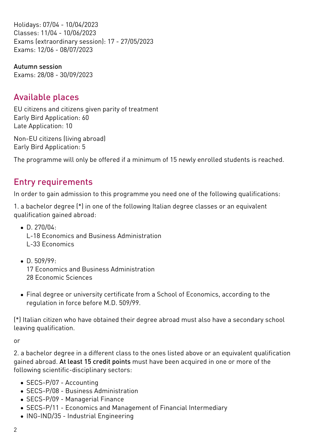Holidays: 07/04 - 10/04/2023 Classes: 11/04 - 10/06/2023 Exams (extraordinary session): 17 - 27/05/2023 Exams: 12/06 - 08/07/2023

Autumn session Exams: 28/08 - 30/09/2023

## Available places

EU citizens and citizens given parity of treatment Early Bird Application: 60 Late Application: 10

Non-EU citizens (living abroad) Early Bird Application: 5

The programme will only be offered if a minimum of 15 newly enrolled students is reached.

## Entry requirements

In order to gain admission to this programme you need one of the following qualifications:

1. a bachelor degree (\*) in one of the following Italian degree classes or an equivalent qualification gained abroad:

- $\bullet$  D. 270/04: L-18 Economics and Business Administration L-33 Economics
- D. 509/99: 17 Economics and Business Administration 28 Economic Sciences
- Final degree or university certificate from a School of Economics, according to the regulation in force before M.D. 509/99.

(\*) Italian citizen who have obtained their degree abroad must also have a secondary school leaving qualification.

or

2. a bachelor degree in a different class to the ones listed above or an equivalent qualification gained abroad. At least 15 credit points must have been acquired in one or more of the following scientific-disciplinary sectors:

- SECS-P/07 Accounting
- SECS-P/08 Business Administration
- SECS-P/09 Managerial Finance
- SECS-P/11 Economics and Management of Financial Intermediary
- ING-IND/35 Industrial Engineering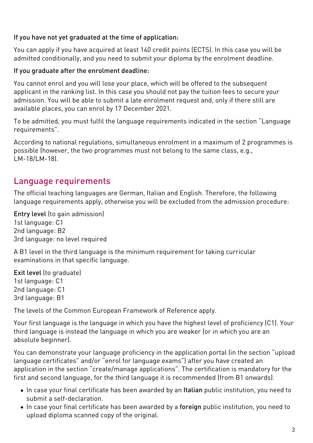#### If you have not yet graduated at the time of application:

You can apply if you have acquired at least 140 credit points (ECTS). In this case you will be admitted conditionally, and you need to submit your diploma by the enrolment deadline.

### If you graduate after the enrolment deadline:

You cannot enrol and you will lose your place, which will be offered to the subsequent applicant in the ranking list. In this case you should not pay the tuition fees to secure your admission. You will be able to submit a late enrolment request and, only if there still are available places, you can enrol by 17 December 2021.

To be admitted, you must fulfil the language requirements indicated in the section "Language requirements".

According to national regulations, simultaneous enrolment in a maximum of 2 programmes is possible (however, the two programmes must not belong to the same class, e.g., LM-18/LM-18).

## Language requirements

The official teaching languages are German, Italian and English. Therefore, the following language requirements apply, otherwise you will be excluded from the admission procedure:

Entry level (to gain admission) 1st language: C1 2nd language: B2 3rd language: no level required

A B1 level in the third language is the minimum requirement for taking curricular examinations in that specific language.

Exit level (to graduate) 1st language: C1 2nd language: C1 3rd language: B1

The levels of the Common European Framework of Reference apply.

Your first language is the language in which you have the highest level of proficiency (C1). Your third language is instead the language in which you are weaker (or in which you are an absolute beginner).

You can demonstrate your language proficiency in the application portal (in the section "upload language certificates" and/or "enrol for language exams") after you have created an application in the section "create/manage applications". The certification is mandatory for the first and second language, for the third language it is recommended (from B1 onwards).

- In case your final certificate has been awarded by an Italian public institution, you need to submit a self-declaration.
- In case your final certificate has been awarded by a foreign public institution, you need to upload diploma scanned copy of the original.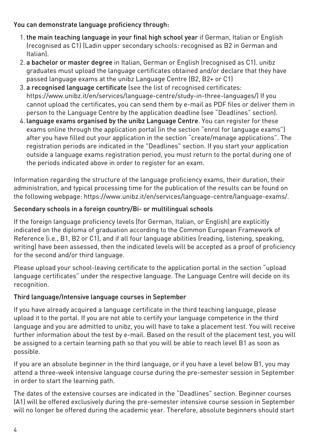#### You can demonstrate language proficiency through:

- 1. the main teaching language in your final high school year if German, Italian or English (recognised as C1) (Ladin upper secondary schools: recognised as B2 in German and Italian).
- 2. a bachelor or master degree in Italian, German or English (recognised as C1). unibz graduates must upload the language certificates obtained and/or declare that they have passed language exams at the unibz Language Centre (B2, B2+ or C1)
- 3. a recognised language certificate (see the list of recognised certificates: <https://www.unibz.it/en/services/language-centre/study-in-three-languages/>) If you cannot upload the certificates, you can send them by e-mail as PDF files or deliver them in person to the Language Centre by the application deadline (see "Deadlines" section).
- 4. language exams organised by the unibz Language Centre. You can register for these exams online through the application portal (in the section "enrol for language exams") after you have filled out your application in the section "create/manage applications". The registration periods are indicated in the "Deadlines" section. If you start your application outside a language exams registration period, you must return to the portal during one of the periods indicated above in order to register for an exam.

Information regarding the structure of the language proficiency exams, their duration, their administration, and typical processing time for the publication of the results can be found on the following webpage: <https://www.unibz.it/en/services/language-centre/language-exams/>.

### Secondary schools in a foreign country/Bi- or multilingual schools

If the foreign language proficiency levels (for German, Italian, or English) are explicitly indicated on the diploma of graduation according to the Common European Framework of Reference (i.e., B1, B2 or C1), and if all four language abilities (reading, listening, speaking, writing) have been assessed, then the indicated levels will be accepted as a proof of proficiency for the second and/or third language.

Please upload your school-leaving certificate to the application portal in the section "upload language certificates" under the respective language. The Language Centre will decide on its recognition.

### Third language/Intensive language courses in September

If you have already acquired a language certificate in the third teaching language, please upload it to the portal. If you are not able to certify your language competence in the third language and you are admitted to unibz, you will have to take a placement test. You will receive further information about the test by e-mail. Based on the result of the placement test, you will be assigned to a certain learning path so that you will be able to reach level B1 as soon as possible.

If you are an absolute beginner in the third language, or if you have a level below B1, you may attend a three-week intensive language course during the pre-semester session in September in order to start the learning path.

The dates of the extensive courses are indicated in the "Deadlines" section. Beginner courses (A1) will be offered exclusively during the pre-semester intensive course session in September will no longer be offered during the academic year. Therefore, absolute beginners should start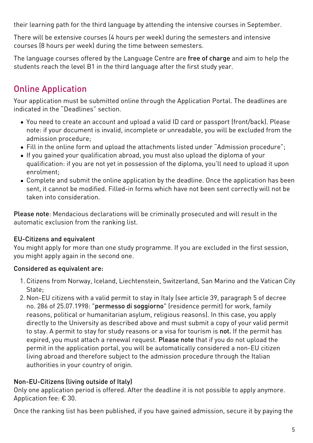their learning path for the third language by attending the intensive courses in September.

There will be extensive courses (4 hours per week) during the semesters and intensive courses (8 hours per week) during the time between semesters.

The language courses offered by the Language Centre are free of charge and aim to help the students reach the level B1 in the third language after the first study year.

# Online Application

Your application must be submitted online through the [Application Portal](https://aws.unibz.it/exup). The deadlines are indicated in the "Deadlines" section.

- You need to create an account and upload a valid ID card or passport (front/back). Please note: if your document is invalid, incomplete or unreadable, you will be excluded from the admission procedure;
- Fill in the online form and upload the attachments listed under "Admission procedure";
- If you gained your qualification abroad, you must also upload the diploma of your qualification: if you are not yet in possession of the diploma, you'll need to upload it upon enrolment;
- Complete and submit the online application by the deadline. Once the application has been sent, it cannot be modified. Filled-in forms which have not been sent correctly will not be taken into consideration.

Please note: Mendacious declarations will be criminally prosecuted and will result in the automatic exclusion from the ranking list.

### EU-Citizens and equivalent

You might apply for more than one study programme. If you are excluded in the first session, you might apply again in the second one.

### Considered as equivalent are:

- 1. Citizens from Norway, Iceland, Liechtenstein, Switzerland, San Marino and the Vatican City State;
- 2. Non-EU citizens with a valid permit to stay in Italy (see article 39, paragraph 5 of decree no. 286 of 25.07.1998: "permesso di soggiorno" (residence permit) for work, family reasons, political or humanitarian asylum, religious reasons). In this case, you apply directly to the University as described above and must submit a copy of your valid permit to stay. A permit to stay for study reasons or a visa for tourism is not. If the permit has expired, you must attach a renewal request. Please note that if you do not upload the permit in the application portal, you will be automatically considered a non-EU citizen living abroad and therefore subject to the admission procedure through the Italian authorities in your country of origin.

### Non-EU-Citizens (living outside of Italy)

Only one application period is offered. After the deadline it is not possible to apply anymore. Application fee: € 30.

Once the ranking list has been published, if you have gained admission, secure it by paying the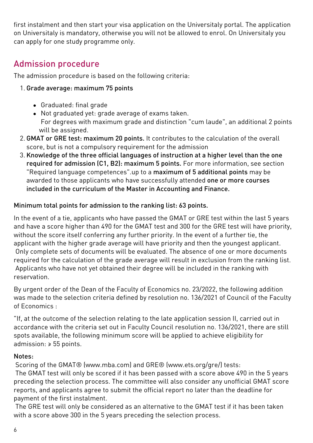first instalment and then start your visa application on the [Universitaly portal.](https://www.universitaly.it/index.php/) The application on Universitaly is mandatory, otherwise you will not be allowed to enrol. On Universitaly you can apply for one study programme only.

## Admission procedure

The admission procedure is based on the following criteria:

#### 1. Grade average: maximum 75 points

- Graduated: final grade
- Not graduated yet: grade average of exams taken. For degrees with maximum grade and distinction "cum laude", an additional 2 points will be assigned.
- 2. GMAT or GRE test: maximum 20 points. It contributes to the calculation of the overall score, but is not a compulsory requirement for the admission
- 3. Knowledge of the three official languages of instruction at a higher level than the one required for admission (C1, B2): maximum 5 points. For more information, see section "Required language competences".up to a maximum of 5 additional points may be awarded to those applicants who have successfully attended one or more courses included in the curriculum of the Master in Accounting and Finance.

#### Minimum total points for admission to the ranking list: 63 points.

In the event of a tie, applicants who have passed the GMAT or GRE test within the last 5 years and have a score higher than 490 for the GMAT test and 300 for the GRE test will have priority, without the score itself conferring any further priority. In the event of a further tie, the applicant with the higher grade average will have priority and then the youngest applicant. Only complete sets of documents will be evaluated. The absence of one or more documents required for the calculation of the grade average will result in exclusion from the ranking list. Applicants who have not yet obtained their degree will be included in the ranking with reservation.

By urgent order of the Dean of the Faculty of Economics no. 23/2022, the following addition was made to the selection criteria defined by resolution no. 136/2021 of Council of the Faculty of Economics :

"If, at the outcome of the selection relating to the late application session II, carried out in accordance with the criteria set out in Faculty Council resolution no. 136/2021, there are still spots available, the following minimum score will be applied to achieve eligibility for admission: ≥ 55 points.

#### Notes:

Scoring of the GMAT® ([www.mba.com\)](https://www.mba.com) and GRE® ([www.ets.org/gre/](https://www.ets.org/gre/)) tests:

 The GMAT test will only be scored if it has been passed with a score above 490 in the 5 years preceding the selection process. The committee will also consider any unofficial GMAT score reports, and applicants agree to submit the official report no later than the deadline for payment of the first instalment.

 The GRE test will only be considered as an alternative to the GMAT test if it has been taken with a score above 300 in the 5 years preceding the selection process.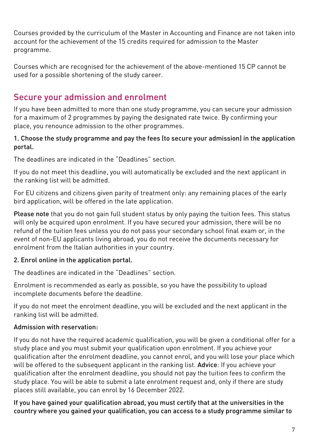Courses provided by the curriculum of the Master in Accounting and Finance are not taken into account for the achievement of the 15 credits required for admission to the Master programme.

Courses which are recognised for the achievement of the above-mentioned 15 CP cannot be used for a possible shortening of the study career.

## Secure your admission and enrolment

If you have been admitted to more than one study programme, you can secure your admission for a maximum of 2 programmes by paying the designated rate twice. By confirming your place, you renounce admission to the other programmes.

#### 1. Choose the study programme and pay the fees (to secure your admission) in the application portal.

The deadlines are indicated in the "Deadlines" section.

If you do not meet this deadline, you will automatically be excluded and the next applicant in the ranking list will be admitted.

For EU citizens and citizens given parity of treatment only: any remaining places of the early bird application, will be offered in the late application.

Please note that you do not gain full student status by only paying the tuition fees. This status will only be acquired upon enrolment. If you have secured your admission, there will be no refund of the tuition fees unless you do not pass your secondary school final exam or, in the event of non-EU applicants living abroad, you do not receive the documents necessary for enrolment from the Italian authorities in your country.

### 2. Enrol online in the application portal.

The deadlines are indicated in the "Deadlines" section.

Enrolment is recommended as early as possible, so you have the possibility to upload incomplete documents before the deadline.

If you do not meet the enrolment deadline, you will be excluded and the next applicant in the ranking list will be admitted.

### Admission with reservation:

If you do not have the required academic qualification, you will be given a conditional offer for a study place and you must submit your qualification upon enrolment. If you achieve your qualification after the enrolment deadline, you cannot enrol, and you will lose your place which will be offered to the subsequent applicant in the ranking list. Advice: If you achieve your qualification after the enrolment deadline, you should not pay the tuition fees to confirm the study place. You will be able to submit a late enrolment request and, only if there are study places still available, you can enrol by 16 December 2022.

If you have gained your qualification abroad, you must certify that at the universities in the country where you gained your qualification, you can access to a study programme similar to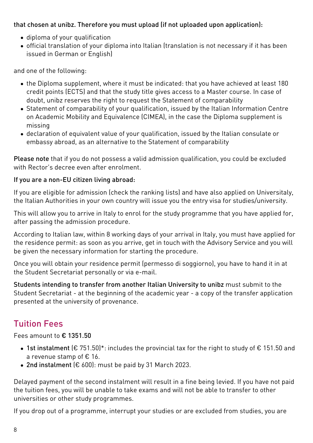#### that chosen at unibz. Therefore you must upload (if not uploaded upon application):

- diploma of your qualification
- official translation of your diploma into Italian (translation is not necessary if it has been issued in German or English)

and one of the following:

- the Diploma supplement, where it must be indicated: that you have achieved at least 180 credit points (ECTS) and that the study title gives access to a Master course. In case of doubt, unibz reserves the right to request the Statement of comparability
- [Statement of comparability](https://www.cimea.it/EN/pagina-attestati-di-comparabilita-e-verifica-dei-titoli) of your qualification, issued by the Italian Information Centre on Academic Mobility and Equivalence (CIMEA), in the case the Diploma supplement is missing
- declaration of equivalent value of your qualification, issued by the Italian consulate or embassy abroad, as an alternative to the Statement of comparability

Please note that if you do not possess a valid admission qualification, you could be excluded with Rector's decree even after enrolment

#### If you are a non-EU citizen living abroad:

If you are eligible for admission (check the ranking lists) and have also applied on [Universitaly](https://www.universitaly.it/index.php/), the Italian Authorities in your own country will issue you the entry visa for studies/university.

This will allow you to arrive in Italy to enrol for the study programme that you have applied for, after passing the admission procedure.

According to Italian law, within 8 working days of your arrival in Italy, you must have applied for the residence permit: as soon as you arrive, get in touch with the Advisory Service and you will be given the necessary information for starting the procedure.

Once you will obtain your residence permit (permesso di soggiorno), you have to hand it in at the Student Secretariat personally or via e-mail.

Students intending to transfer from another Italian University to unibz must submit to the Student Secretariat - at the beginning of the academic year - a copy of the transfer application presented at the university of provenance.

# Tuition Fees

Fees amount to € 1351.50

- 1st instalment (€ 751.50)\*: includes the provincial tax for the right to study of € 151.50 and a revenue stamp of € 16.
- 2nd instalment (€ 600): must be paid by 31 March 2023.

Delayed payment of the second instalment will result in a fine being levied. If you have not paid the tuition fees, you will be unable to take exams and will not be able to transfer to other universities or other study programmes.

If you drop out of a programme, interrupt your studies or are excluded from studies, you are